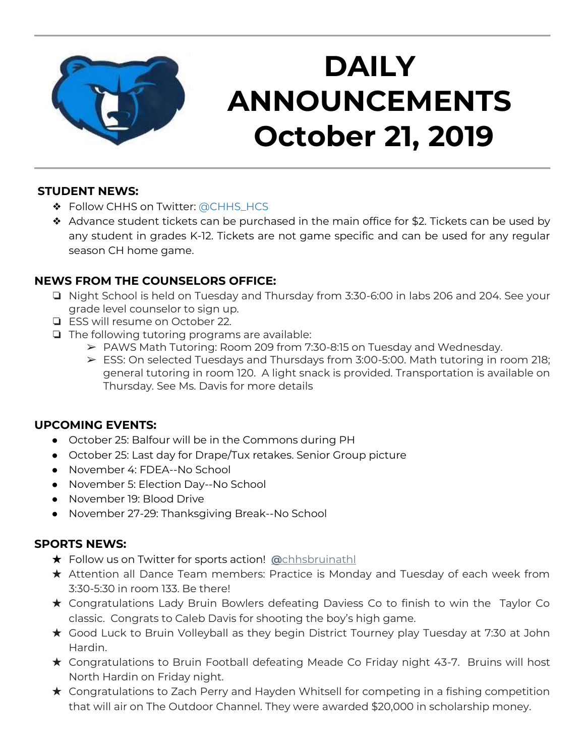

# **DAILY ANNOUNCEMENTS October 21, 2019**

#### **STUDENT NEWS:**

- ❖ Follow CHHS on Twitter: [@CHHS\\_HCS](https://twitter.com/CHHS_HCS)
- ❖ Advance student tickets can be purchased in the main office for \$2. Tickets can be used by any student in grades K-12. Tickets are not game specific and can be used for any regular season CH home game.

## **NEWS FROM THE COUNSELORS OFFICE:**

- ❏ Night School is held on Tuesday and Thursday from 3:30-6:00 in labs 206 and 204. See your grade level counselor to sign up.
- ❏ ESS will resume on October 22.
- ❏ The following tutoring programs are available:
	- ➢ PAWS Math Tutoring: Room 209 from 7:30-8:15 on Tuesday and Wednesday.
	- $\triangleright$  ESS: On selected Tuesdays and Thursdays from 3:00-5:00. Math tutoring in room 218; general tutoring in room 120. A light snack is provided. Transportation is available on Thursday. See Ms. Davis for more details

## **UPCOMING EVENTS:**

- October 25: Balfour will be in the Commons during PH
- October 25: Last day for Drape/Tux retakes. Senior Group picture
- November 4: FDEA--No School
- November 5: Election Day--No School
- November 19: Blood Drive
- November 27-29: Thanksgiving Break--No School

#### **SPORTS NEWS:**

- ★ Follow us on Twitter for sports action! **[@](https://twitter.com/chhsbruinathl)**[chhsbruinathl](https://twitter.com/chhsbruinathl)
- ★ Attention all Dance Team members: Practice is Monday and Tuesday of each week from 3:30-5:30 in room 133. Be there!
- ★ Congratulations Lady Bruin Bowlers defeating Daviess Co to finish to win the Taylor Co classic. Congrats to Caleb Davis for shooting the boy's high game.
- ★ Good Luck to Bruin Volleyball as they begin District Tourney play Tuesday at 7:30 at John Hardin.
- ★ Congratulations to Bruin Football defeating Meade Co Friday night 43-7. Bruins will host North Hardin on Friday night.
- ★ Congratulations to Zach Perry and Hayden Whitsell for competing in a fishing competition that will air on The Outdoor Channel. They were awarded \$20,000 in scholarship money.